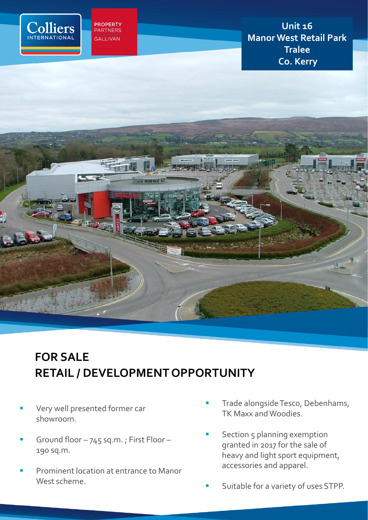

**PROPERTY**<br>PARTNERS **GALLIVAN** 

**Unit 16 Manor West Retail Park Tralee Co. Kerry**



# **FOR SALE RETAIL / DEVELOPMENT OPPORTUNITY**

- Very well presented former car showroom.
- Ground floor 745 sq.m.; First Floor -190 sq.m.
- Prominent location at entrance to Manor West scheme.
- Trade alongside Tesco, Debenhams, TK Maxx and Woodies.
- Section 5 planning exemption granted in 2017 for the sale of heavy and light sport equipment, accessories and apparel.
- Suitable for a variety of uses STPP.